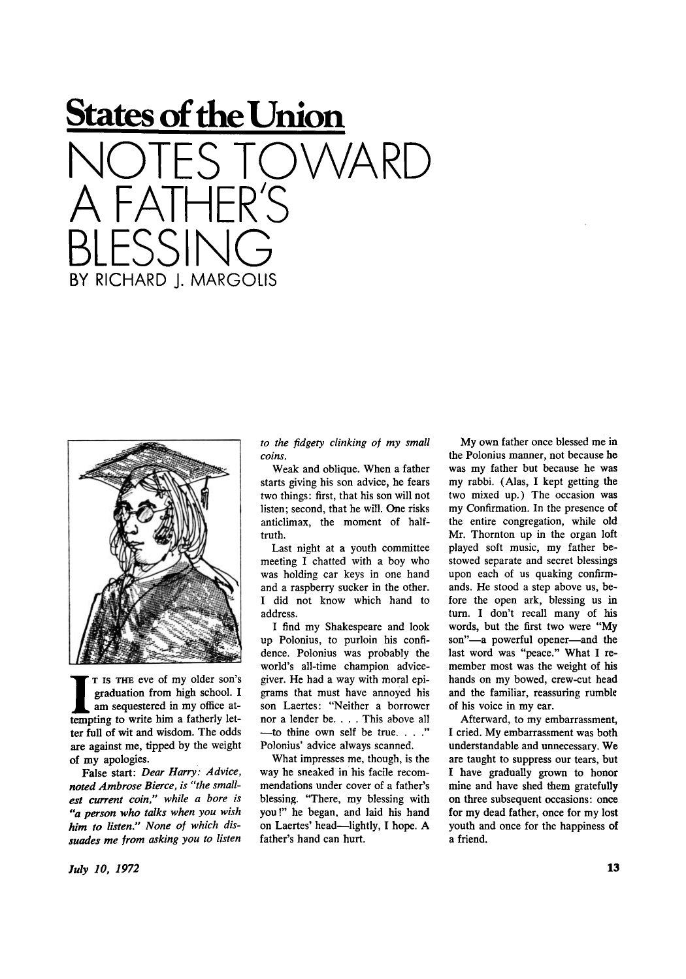## **States of the Union**  NOTES TOWARD A FAIHER'S BLESSING BY RICHARD | MARGOLIS



I I IS THE eve of my older son's graduation from high school. I<br>am sequestered in my office at-<br>tempting to write him a fatherly let-T IS THE eve of my older son's graduation from high school. I am sequestered in my office atter full of wit and wisdom. The odds are against me, tipped by the weight of my apologies.

False start: *Dear Harry: Advice, noted Ambrose Bierce, is "the smallest current coin," while a bore is "a person who talks when you wish him to listen." None of which dissuades me from asking you to listen*  *to the fidgety clinking of my small coins.* 

Weak and oblique. When a father starts giving his son advice, he fears two things: first, that his son will not listen; second, that he will. One risks anticlimax, the moment of halftruth.

Last night at a youth committee meeting I chatted with a boy who was holding car keys in one hand and a raspberry sucker in the other. I did not know which hand to address.

I find my Shakespeare and look up Polonius, to purloin his confidence. Polonius was probably the world's all-time champion advicegiver. He had a way with moral epigrams that must have annoyed his son Laertes: "Neither a borrower nor a lender be. . . . This above all —to thine own self be true. . . ." Polonius' advice always scanned.

What impresses me, though, is the way he sneaked in his facile recommendations under cover of a father's blessing. "There, my blessing with you!" he began, and laid his hand on Laertes' head—lightly, I hope. A father's hand can hurt.

My own father once blessed me in the Polonius manner, not because he was my father but because he was my rabbi. (Alas, I kept getting the two mixed up.) The occasion was my Confirmation. In the presence of the entire congregation, while old Mr. Thornton up in the organ loft played soft music, my father bestowed separate and secret blessings upon each of us quaking confirmands. He stood a step above us, before the open ark, blessing us in turn. I don't recall many of his words, but the first two were "My son"—a powerful opener—and the last word was "peace." What I remember most was the weight of his hands on my bowed, crew-cut head and the familiar, reassuring rumble of his voice in my ear.

Afterward, to my embarrassment, I cried. My embarrassment was both understandable and unnecessary. We are taught to suppress our tears, but I have gradually grown to honor mine and have shed them gratefully on three subsequent occasions: once for my dead father, once for my lost youth and once for the happiness of a friend.